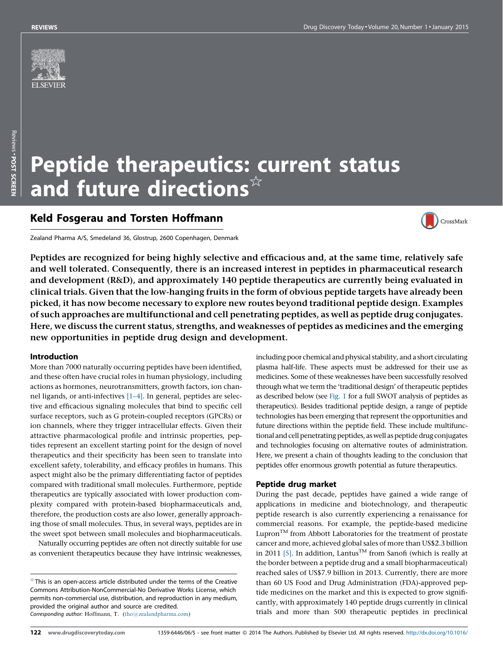CrossMark



# Peptide therapeutics: current status and future directions $\mathbb{R}^{\mathbb{Z}}$

# §Keld Fosgerau and Torsten Hoffmann

Zealand Pharma A/S, Smedeland 36, Glostrup, 2600 Copenhagen, Denmark

Peptides are recognized for being highly selective and efficacious and, at the same time, relatively safe and well tolerated. Consequently, there is an increased interest in peptides in pharmaceutical research and development (R&D), and approximately 140 peptide therapeutics are currently being evaluated in clinical trials. Given that the low-hanging fruits in the form of obvious peptide targets have already been picked, it has now become necessary to explore new routes beyond traditional peptide design. Examples of such approaches are multifunctional and cell penetrating peptides, as well as peptide drug conjugates. Here, we discuss the current status, strengths, and weaknesses of peptides as medicines and the emerging new opportunities in peptide drug design and development.

# Introduction

More than 7000 naturally occurring peptides have been identified, and these often have crucial roles in human physiology, including actions as hormones, neurotransmitters, growth factors, ion channel ligands, or anti-infectives [\[1–4\].](#page-5-0) In general, peptides are selective and efficacious signaling molecules that bind to specific cell surface receptors, such as G protein-coupled receptors (GPCRs) or ion channels, where they trigger intracellular effects. Given their attractive pharmacological profile and intrinsic properties, peptides represent an excellent starting point for the design of novel therapeutics and their specificity has been seen to translate into excellent safety, tolerability, and efficacy profiles in humans. This aspect might also be the primary differentiating factor of peptides compared with traditional small molecules. Furthermore, peptide therapeutics are typically associated with lower production complexity compared with protein-based biopharmaceuticals and, therefore, the production costs are also lower, generally approaching those of small molecules. Thus, in several ways, peptides are in the sweet spot between small molecules and biopharmaceuticals.

Naturally occurring peptides are often not directly suitable for use as convenient therapeutics because they have intrinsic weaknesses,

including poor chemical and physical stability, and a short circulating plasma half-life. These aspects must be addressed for their use as medicines. Some of these weaknesses have been successfully resolved through what we term the 'traditional design' of therapeutic peptides as described below (see [Fig.](#page-1-0) 1 for a full SWOT analysis of peptides as therapeutics). Besides traditional peptide design, a range of peptide technologies has been emerging that represent the opportunities and future directions within the peptide field. These include multifunctional and cell penetrating peptides, as well as peptide drug conjugates and technologies focusing on alternative routes of administration. Here, we present a chain of thoughts leading to the conclusion that peptides offer enormous growth potential as future therapeutics.

## Peptide drug market

During the past decade, peptides have gained a wide range of applications in medicine and biotechnology, and therapeutic peptide research is also currently experiencing a renaissance for commercial reasons. For example, the peptide-based medicine Lupron<sup>TM</sup> from Abbott Laboratories for the treatment of prostate cancer and more, achieved global sales of more than US\$2.3 billion in 2011 [\[5\]](#page-5-0). In addition, Lantus<sup>TM</sup> from Sanofi (which is really at the border between a peptide drug and a small biopharmaceutical) reached sales of US\$7.9 billion in 2013. Currently, there are more than 60 US Food and Drug Administration (FDA)-approved peptide medicines on the market and this is expected to grow significantly, with approximately 140 peptide drugs currently in clinical trials and more than 500 therapeutic peptides in preclinical

 $*$  This is an open-access article distributed under the terms of the Creative Commons Attribution-NonCommercial-No Derivative Works License, which permits non-commercial use, distribution, and reproduction in any medium, provided the original author and source are credited. Corresponding author: Hoffmann, T. ([tho@zealandpharma.com](mailto:tho@zealandpharma.com))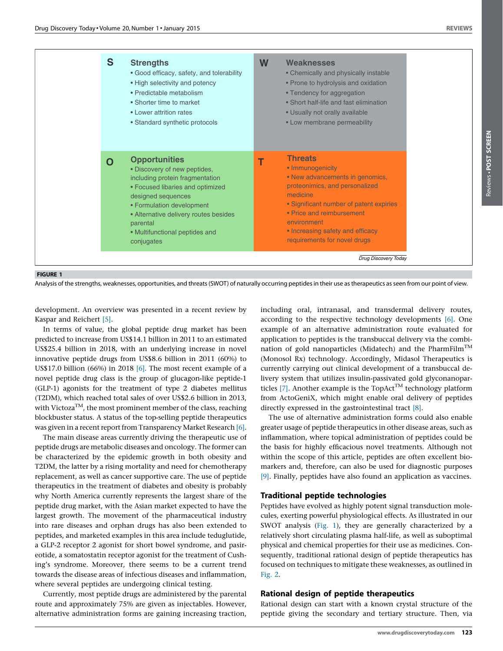<span id="page-1-0"></span>

FIGURE 1

Analysis of the strengths, weaknesses, opportunities, and threats(SWOT) of naturally occurring peptidesin their use astherapeutics asseen from our point of view.

development. An overview was presented in a recent review by Kaspar and Reichert [\[5\]](#page-5-0).

In terms of value, the global peptide drug market has been predicted to increase from US\$14.1 billion in 2011 to an estimated US\$25.4 billion in 2018, with an underlying increase in novel innovative peptide drugs from US\$8.6 billion in 2011 (60%) to US\$17.0 billion (66%) in 2018 [\[6\]](#page-5-0). The most recent example of a novel peptide drug class is the group of glucagon-like peptide-1 (GLP-1) agonists for the treatment of type 2 diabetes mellitus (T2DM), which reached total sales of over US\$2.6 billion in 2013, with Victoza<sup>TM</sup>, the most prominent member of the class, reaching blockbuster status. A status of the top-selling peptide therapeutics was given in a recent report from Transparency Market Research [\[6\].](#page-5-0)

The main disease areas currently driving the therapeutic use of peptide drugs are metabolic diseases and oncology. The former can be characterized by the epidemic growth in both obesity and T2DM, the latter by a rising mortality and need for chemotherapy replacement, as well as cancer supportive care. The use of peptide therapeutics in the treatment of diabetes and obesity is probably why North America currently represents the largest share of the peptide drug market, with the Asian market expected to have the largest growth. The movement of the pharmaceutical industry into rare diseases and orphan drugs has also been extended to peptides, and marketed examples in this area include teduglutide, a GLP-2 receptor 2 agonist for short bowel syndrome, and pasireotide, a somatostatin receptor agonist for the treatment of Cushing's syndrome. Moreover, there seems to be a current trend towards the disease areas of infectious diseases and inflammation, where several peptides are undergoing clinical testing.

Currently, most peptide drugs are administered by the parental route and approximately 75% are given as injectables. However, alternative administration forms are gaining increasing traction,

including oral, intranasal, and transdermal delivery routes, according to the respective technology developments [\[6\]](#page-5-0). One example of an alternative administration route evaluated for application to peptides is the transbuccal delivery via the combination of gold nanoparticles (Midatech) and the PharmFilm<sup>TM</sup> (Monosol Rx) technology. Accordingly, Midasol Therapeutics is currently carrying out clinical development of a transbuccal delivery system that utilizes insulin-passivated gold glyconanopar-ticles [\[7\].](#page-5-0) Another example is the TopAct<sup>TM</sup> technology platform from ActoGeniX, which might enable oral delivery of peptides directly expressed in the gastrointestinal tract [\[8\]](#page-5-0).

The use of alternative administration forms could also enable greater usage of peptide therapeutics in other disease areas, such as inflammation, where topical administration of peptides could be the basis for highly efficacious novel treatments. Although not within the scope of this article, peptides are often excellent biomarkers and, therefore, can also be used for diagnostic purposes [\[9\].](#page-5-0) Finally, peptides have also found an application as vaccines.

#### Traditional peptide technologies

Peptides have evolved as highly potent signal transduction molecules, exerting powerful physiological effects. As illustrated in our SWOT analysis (Fig. 1), they are generally characterized by a relatively short circulating plasma half-life, as well as suboptimal physical and chemical properties for their use as medicines. Consequently, traditional rational design of peptide therapeutics has focused on techniques to mitigate these weaknesses, as outlined in [Fig.](#page-2-0) 2.

#### Rational design of peptide therapeutics

Rational design can start with a known crystal structure of the peptide giving the secondary and tertiary structure. Then, via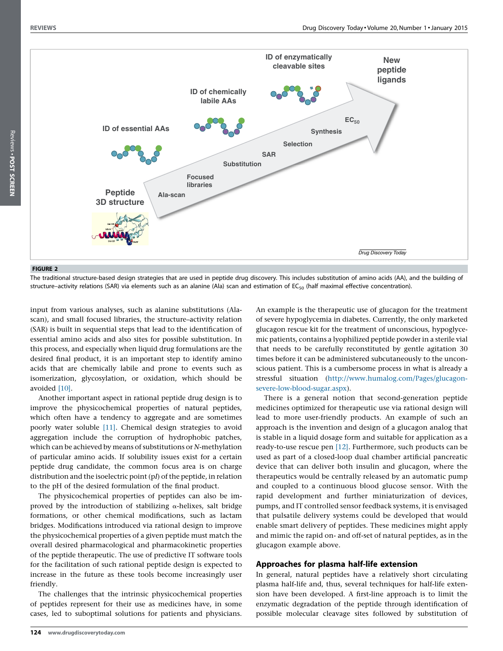<span id="page-2-0"></span>

FIGURE 2

The traditional structure-based design strategies that are used in peptide drug discovery. This includes substitution of amino acids (AA), and the building of structure–activity relations (SAR) via elements such as an alanine (Ala) scan and estimation of  $EC_{50}$  (half maximal effective concentration).

input from various analyses, such as alanine substitutions (Alascan), and small focused libraries, the structure–activity relation (SAR) is built in sequential steps that lead to the identification of essential amino acids and also sites for possible substitution. In this process, and especially when liquid drug formulations are the desired final product, it is an important step to identify amino acids that are chemically labile and prone to events such as isomerization, glycosylation, or oxidation, which should be avoided [\[10\]](#page-5-0).

Another important aspect in rational peptide drug design is to improve the physicochemical properties of natural peptides, which often have a tendency to aggregate and are sometimes poorly water soluble [\[11\].](#page-5-0) Chemical design strategies to avoid aggregation include the corruption of hydrophobic patches, which can be achieved by means of substitutions or N-methylation of particular amino acids. If solubility issues exist for a certain peptide drug candidate, the common focus area is on charge distribution and the isoelectric point (pI) of the peptide, in relation to the pH of the desired formulation of the final product.

The physicochemical properties of peptides can also be improved by the introduction of stabilizing  $\alpha$ -helixes, salt bridge formations, or other chemical modifications, such as lactam bridges. Modifications introduced via rational design to improve the physicochemical properties of a given peptide must match the overall desired pharmacological and pharmacokinetic properties of the peptide therapeutic. The use of predictive IT software tools for the facilitation of such rational peptide design is expected to increase in the future as these tools become increasingly user friendly.

The challenges that the intrinsic physicochemical properties of peptides represent for their use as medicines have, in some cases, led to suboptimal solutions for patients and physicians.

An example is the therapeutic use of glucagon for the treatment of severe hypoglycemia in diabetes. Currently, the only marketed glucagon rescue kit for the treatment of unconscious, hypoglycemic patients, contains a lyophilized peptide powder in a sterile vial that needs to be carefully reconstituted by gentle agitation 30 times before it can be administered subcutaneously to the unconscious patient. This is a cumbersome process in what is already a stressful situation [\(http://www.humalog.com/Pages/glucagon](http://www.humalog.com/Pages/glucagon-severe-low-blood-sugar.aspx)[severe-low-blood-sugar.aspx\)](http://www.humalog.com/Pages/glucagon-severe-low-blood-sugar.aspx).

There is a general notion that second-generation peptide medicines optimized for therapeutic use via rational design will lead to more user-friendly products. An example of such an approach is the invention and design of a glucagon analog that is stable in a liquid dosage form and suitable for application as a ready-to-use rescue pen [\[12\]](#page-5-0). Furthermore, such products can be used as part of a closed-loop dual chamber artificial pancreatic device that can deliver both insulin and glucagon, where the therapeutics would be centrally released by an automatic pump and coupled to a continuous blood glucose sensor. With the rapid development and further miniaturization of devices, pumps, and IT controlled sensor feedback systems, it is envisaged that pulsatile delivery systems could be developed that would enable smart delivery of peptides. These medicines might apply and mimic the rapid on- and off-set of natural peptides, as in the glucagon example above.

### Approaches for plasma half-life extension

In general, natural peptides have a relatively short circulating plasma half-life and, thus, several techniques for half-life extension have been developed. A first-line approach is to limit the enzymatic degradation of the peptide through identification of possible molecular cleavage sites followed by substitution of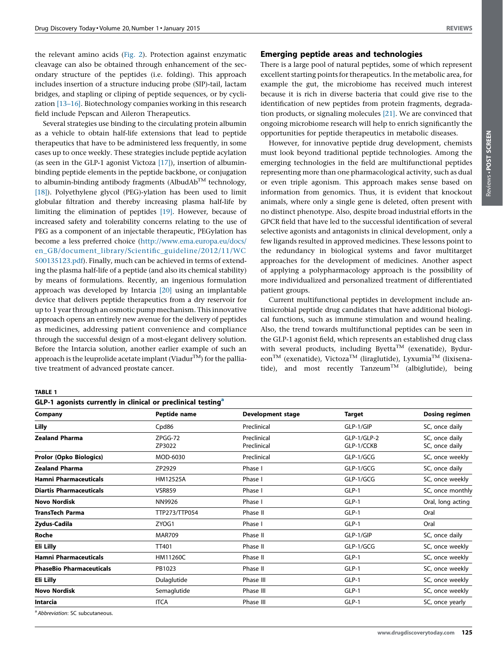<span id="page-3-0"></span>the relevant amino acids ([Fig.](#page-2-0) 2). Protection against enzymatic cleavage can also be obtained through enhancement of the secondary structure of the peptides (i.e. folding). This approach includes insertion of a structure inducing probe (SIP)-tail, lactam bridges, and stapling or cliping of peptide sequences, or by cyclization [\[13–16\]](#page-5-0). Biotechnology companies working in this research field include Pepscan and Aileron Therapeutics.

Several strategies use binding to the circulating protein albumin as a vehicle to obtain half-life extensions that lead to peptide therapeutics that have to be administered less frequently, in some cases up to once weekly. These strategies include peptide acylation (as seen in the GLP-1 agonist Victoza  $[17]$ ), insertion of albuminbinding peptide elements in the peptide backbone, or conjugation to albumin-binding antibody fragments (AlbudAb<sup>TM</sup> technology, [\[18\]\)](#page-6-0). Polyethylene glycol (PEG)-ylation has been used to limit globular filtration and thereby increasing plasma half-life by limiting the elimination of peptides [\[19\].](#page-6-0) However, because of increased safety and tolerability concerns relating to the use of PEG as a component of an injectable therapeutic, PEGylation has become a less preferred choice [\(http://www.ema.europa.eu/docs/](http://www.ema.europa.eu/docs/en_GB/document_library/Scientific_guideline/2012/11/WC500135123.pdf) [en\\_GB/document\\_library/Scientific\\_guideline/2012/11/WC](http://www.ema.europa.eu/docs/en_GB/document_library/Scientific_guideline/2012/11/WC500135123.pdf) [500135123.pdf](http://www.ema.europa.eu/docs/en_GB/document_library/Scientific_guideline/2012/11/WC500135123.pdf)). Finally, much can be achieved in terms of extending the plasma half-life of a peptide (and also its chemical stability) by means of formulations. Recently, an ingenious formulation approach was developed by Intarcia [\[20\]](#page-6-0) using an implantable device that delivers peptide therapeutics from a dry reservoir for up to 1 year through an osmotic pump mechanism. This innovative approach opens an entirely new avenue for the delivery of peptides as medicines, addressing patient convenience and compliance through the successful design of a most-elegant delivery solution. Before the Intarcia solution, another earlier example of such an approach is the leuprolide acetate implant (Viadur<sup>TM</sup>) for the palliative treatment of advanced prostate cancer.

#### Emerging peptide areas and technologies

There is a large pool of natural peptides, some of which represent excellent starting points for therapeutics. In the metabolic area, for example the gut, the microbiome has received much interest because it is rich in diverse bacteria that could give rise to the identification of new peptides from protein fragments, degradation products, or signaling molecules [\[21\].](#page-6-0) We are convinced that ongoing microbiome research will help to enrich significantly the opportunities for peptide therapeutics in metabolic diseases.

However, for innovative peptide drug development, chemists must look beyond traditional peptide technologies. Among the emerging technologies in the field are multifunctional peptides representing more than one pharmacological activity, such as dual or even triple agonism. This approach makes sense based on information from genomics. Thus, it is evident that knockout animals, where only a single gene is deleted, often present with no distinct phenotype. Also, despite broad industrial efforts in the GPCR field that have led to the successful identification of several selective agonists and antagonists in clinical development, only a few ligands resulted in approved medicines. These lessons point to the redundancy in biological systems and favor multitarget approaches for the development of medicines. Another aspect of applying a polypharmacology approach is the possibility of more individualized and personalized treatment of differentiated patient groups.

Current multifunctional peptides in development include antimicrobial peptide drug candidates that have additional biological functions, such as immune stimulation and wound healing. Also, the trend towards multifunctional peptides can be seen in the GLP-1 agonist field, which represents an established drug class with several products, including Byetta<sup>TM</sup> (exenatide), Bydureon™ (exenatide), Victoza<sup>™</sup> (liraglutide), Lyxumia<sup>™</sup> (lixisenatide), and most recently Tanzeum<sup>TM</sup> (albiglutide), being

#### TABLE 1

| GLP-1 agonists currently in clinical or preclinical testing <sup>a</sup> |                   |                            |                           |                                  |
|--------------------------------------------------------------------------|-------------------|----------------------------|---------------------------|----------------------------------|
| Company                                                                  | Peptide name      | <b>Development stage</b>   | <b>Target</b>             | Dosing regimen                   |
| Lilly                                                                    | Cpd86             | Preclinical                | GLP-1/GIP                 | SC, once daily                   |
| <b>Zealand Pharma</b>                                                    | ZPGG-72<br>ZP3022 | Preclinical<br>Preclinical | GLP-1/GLP-2<br>GLP-1/CCKB | SC, once daily<br>SC, once daily |
| <b>Prolor (Opko Biologics)</b>                                           | MOD-6030          | Preclinical                | GLP-1/GCG                 | SC, once weekly                  |
| <b>Zealand Pharma</b>                                                    | ZP2929            | Phase I                    | GLP-1/GCG                 | SC, once daily                   |
| <b>Hamni Pharmaceuticals</b>                                             | <b>HM12525A</b>   | Phase I                    | GLP-1/GCG                 | SC, once weekly                  |
| <b>Diartis Pharmaceuticals</b>                                           | <b>VSR859</b>     | Phase I                    | GLP-1                     | SC, once monthly                 |
| <b>Novo Nordisk</b>                                                      | NN9926            | Phase I                    | $GLP-1$                   | Oral, long acting                |
| <b>TransTech Parma</b>                                                   | TTP273/TTP054     | Phase II                   | GLP-1                     | Oral                             |
| Zydus-Cadila                                                             | ZYOG1             | Phase I                    | $GLP-1$                   | Oral                             |
| Roche                                                                    | <b>MAR709</b>     | Phase II                   | GLP-1/GIP                 | SC, once daily                   |
| Eli Lilly                                                                | TT401             | Phase II                   | GLP-1/GCG                 | SC, once weekly                  |
| <b>Hamni Pharmaceuticals</b>                                             | HM11260C          | Phase II                   | GLP-1                     | SC, once weekly                  |
| <b>PhaseBio Pharmaceuticals</b>                                          | PB1023            | Phase II                   | GLP-1                     | SC, once weekly                  |
| Eli Lilly                                                                | Dulaglutide       | Phase III                  | $GLP-1$                   | SC, once weekly                  |
| <b>Novo Nordisk</b>                                                      | Semaglutide       | Phase III                  | $GLP-1$                   | SC, once weekly                  |
| Intarcia                                                                 | <b>ITCA</b>       | Phase III                  | GLP-1                     | SC, once yearly                  |
| <sup>a</sup> Abbreviation: SC subcutaneous.                              |                   |                            |                           |                                  |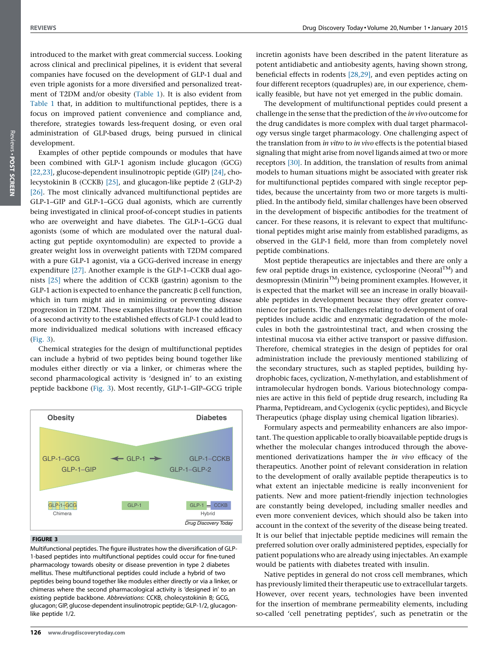introduced to the market with great commercial success. Looking across clinical and preclinical pipelines, it is evident that several companies have focused on the development of GLP-1 dual and even triple agonists for a more diversified and personalized treatment of T2DM and/or obesity ([Table](#page-3-0) 1). It is also evident from [Table](#page-3-0) 1 that, in addition to multifunctional peptides, there is a focus on improved patient convenience and compliance and, therefore, strategies towards less-frequent dosing, or even oral administration of GLP-based drugs, being pursued in clinical development.

Examples of other peptide compounds or modules that have been combined with GLP-1 agonism include glucagon (GCG) [\[22,23\]](#page-6-0), glucose-dependent insulinotropic peptide (GIP) [\[24\],](#page-6-0) cholecystokinin B (CCKB) [\[25\]](#page-6-0), and glucagon-like peptide 2 (GLP-2) [\[26\]](#page-6-0). The most clinically advanced multifunctional peptides are GLP-1–GIP and GLP-1–GCG dual agonists, which are currently being investigated in clinical proof-of-concept studies in patients who are overweight and have diabetes. The GLP-1–GCG dual agonists (some of which are modulated over the natural dualacting gut peptide oxyntomodulin) are expected to provide a greater weight loss in overweight patients with T2DM compared with a pure GLP-1 agonist, via a GCG-derived increase in energy expenditure [\[27\].](#page-6-0) Another example is the GLP-1–CCKB dual agonists [\[25\]](#page-6-0) where the addition of CCKB (gastrin) agonism to the GLP-1 action is expected to enhance the pancreatic  $\beta$  cell function, which in turn might aid in minimizing or preventing disease progression in T2DM. These examples illustrate how the addition of a second activity to the established effects of GLP-1 could lead to more individualized medical solutions with increased efficacy (Fig. 3).

Chemical strategies for the design of multifunctional peptides can include a hybrid of two peptides being bound together like modules either directly or via a linker, or chimeras where the second pharmacological activity is 'designed in' to an existing peptide backbone (Fig. 3). Most recently, GLP-1–GIP–GCG triple



#### FIGURE 3

Multifunctional peptides. The figure illustrates how the diversification of GLP-1-based peptides into multifunctional peptides could occur for fine-tuned pharmacology towards obesity or disease prevention in type 2 diabetes mellitus. These multifunctional peptides could include a hybrid of two peptides being bound together like modules either directly or via a linker, or chimeras where the second pharmacological activity is 'designed in' to an existing peptide backbone. Abbreviations: CCKB, cholecystokinin B; GCG, glucagon; GIP, glucose-dependent insulinotropic peptide; GLP-1/2, glucagonlike peptide 1/2.

incretin agonists have been described in the patent literature as potent antidiabetic and antiobesity agents, having shown strong, beneficial effects in rodents [\[28,29\],](#page-6-0) and even peptides acting on four different receptors (quadruples) are, in our experience, chemically feasible, but have not yet emerged in the public domain.

The development of multifunctional peptides could present a challenge in the sense that the prediction of the *in vivo* outcome for the drug candidates is more complex with dual target pharmacology versus single target pharmacology. One challenging aspect of the translation from in vitro to in vivo effects is the potential biased signaling that might arise from novel ligands aimed at two or more receptors [\[30\].](#page-6-0) In addition, the translation of results from animal models to human situations might be associated with greater risk for multifunctional peptides compared with single receptor peptides, because the uncertainty from two or more targets is multiplied. In the antibody field, similar challenges have been observed in the development of bispecific antibodies for the treatment of cancer. For these reasons, it is relevant to expect that multifunctional peptides might arise mainly from established paradigms, as observed in the GLP-1 field, more than from completely novel peptide combinations.

Most peptide therapeutics are injectables and there are only a few oral peptide drugs in existence, cyclosporine (Neoral<sup>TM</sup>) and desmopressin (Minirin<sup>TM</sup>) being prominent examples. However, it is expected that the market will see an increase in orally bioavailable peptides in development because they offer greater convenience for patients. The challenges relating to development of oral peptides include acidic and enzymatic degradation of the molecules in both the gastrointestinal tract, and when crossing the intestinal mucosa via either active transport or passive diffusion. Therefore, chemical strategies in the design of peptides for oral administration include the previously mentioned stabilizing of the secondary structures, such as stapled peptides, building hydrophobic faces, cyclization, N-methylation, and establishment of intramolecular hydrogen bonds. Various biotechnology companies are active in this field of peptide drug research, including Ra Pharma, Peptidream, and Cyclogenix (cyclic peptides), and Bicycle Therapeutics (phage display using chemical ligation libraries).

Formulary aspects and permeability enhancers are also important. The question applicable to orally bioavailable peptide drugs is whether the molecular changes introduced through the abovementioned derivatizations hamper the in vivo efficacy of the therapeutics. Another point of relevant consideration in relation to the development of orally available peptide therapeutics is to what extent an injectable medicine is really inconvenient for patients. New and more patient-friendly injection technologies are constantly being developed, including smaller needles and even more convenient devices, which should also be taken into account in the context of the severity of the disease being treated. It is our belief that injectable peptide medicines will remain the preferred solution over orally administered peptides, especially for patient populations who are already using injectables. An example would be patients with diabetes treated with insulin.

Native peptides in general do not cross cell membranes, which has previously limited their therapeutic use to extracellular targets. However, over recent years, technologies have been invented for the insertion of membrane permeability elements, including so-called 'cell penetrating peptides', such as penetratin or the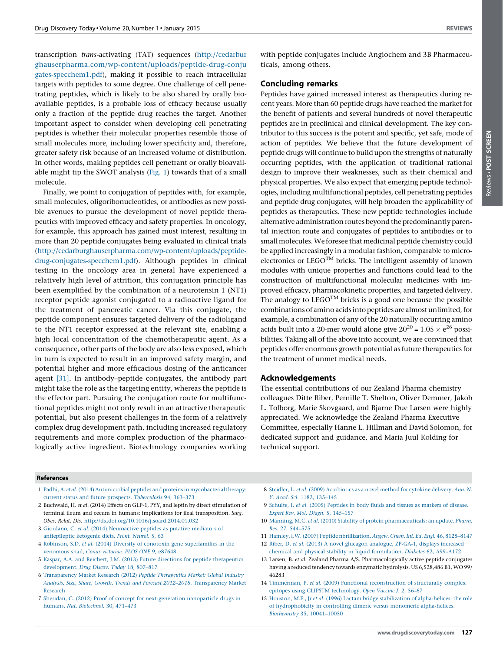<span id="page-5-0"></span>transcription trans-activating (TAT) sequences ([http://cedarbur](http://cedarburghauserpharma.com/wp-content/uploads/peptide-drug-conjugates-specchem1.pdf) [ghauserpharma.com/wp-content/uploads/peptide-drug-conju](http://cedarburghauserpharma.com/wp-content/uploads/peptide-drug-conjugates-specchem1.pdf) [gates-specchem1.pdf\)](http://cedarburghauserpharma.com/wp-content/uploads/peptide-drug-conjugates-specchem1.pdf), making it possible to reach intracellular targets with peptides to some degree. One challenge of cell penetrating peptides, which is likely to be also shared by orally bioavailable peptides, is a probable loss of efficacy because usually only a fraction of the peptide drug reaches the target. Another important aspect to consider when developing cell penetrating peptides is whether their molecular properties resemble those of small molecules more, including lower specificity and, therefore, greater safety risk because of an increased volume of distribution. In other words, making peptides cell penetrant or orally bioavailable might tip the SWOT analysis ([Fig.](#page-1-0) 1) towards that of a small molecule.

Finally, we point to conjugation of peptides with, for example, small molecules, oligoribonucleotides, or antibodies as new possible avenues to pursue the development of novel peptide therapeutics with improved efficacy and safety properties. In oncology, for example, this approach has gained must interest, resulting in more than 20 peptide conjugates being evaluated in clinical trials ([http://cedarburghauserpharma.com/wp-content/uploads/peptide](http://cedarburghauserpharma.com/wp-content/uploads/peptide-drug-conjugates-specchem1.pdf)[drug-conjugates-specchem1.pdf](http://cedarburghauserpharma.com/wp-content/uploads/peptide-drug-conjugates-specchem1.pdf)). Although peptides in clinical testing in the oncology area in general have experienced a relatively high level of attrition, this conjugation principle has been exemplified by the combination of a neurotensin 1 (NT1) receptor peptide agonist conjugated to a radioactive ligand for the treatment of pancreatic cancer. Via this conjugate, the peptide component ensures targeted delivery of the radioligand to the NT1 receptor expressed at the relevant site, enabling a high local concentration of the chemotherapeutic agent. As a consequence, other parts of the body are also less exposed, which in turn is expected to result in an improved safety margin, and potential higher and more efficacious dosing of the anticancer agent [\[31\]](#page-6-0). In antibody–peptide conjugates, the antibody part might take the role as the targeting entity, whereas the peptide is the effector part. Pursuing the conjugation route for multifunctional peptides might not only result in an attractive therapeutic potential, but also present challenges in the form of a relatively complex drug development path, including increased regulatory requirements and more complex production of the pharmacologically active ingredient. Biotechnology companies working

with peptide conjugates include Angiochem and 3B Pharmaceuticals, among others.

#### Concluding remarks

Peptides have gained increased interest as therapeutics during recent years. More than 60 peptide drugs have reached the market for the benefit of patients and several hundreds of novel therapeutic peptides are in preclinical and clinical development. The key contributor to this success is the potent and specific, yet safe, mode of action of peptides. We believe that the future development of peptide drugs will continue to build upon the strengths of naturally occurring peptides, with the application of traditional rational design to improve their weaknesses, such as their chemical and physical properties. We also expect that emerging peptide technologies, including multifunctional peptides, cell penetrating peptides and peptide drug conjugates, will help broaden the applicability of peptides as therapeutics. These new peptide technologies include alternative administration routes beyond the predominantly parental injection route and conjugates of peptides to antibodies or to small molecules. We foresee that medicinal peptide chemistry could be applied increasingly in a modular fashion, comparable to microelectronics or  $LEGO^{TM}$  bricks. The intelligent assembly of known modules with unique properties and functions could lead to the construction of multifunctional molecular medicines with improved efficacy, pharmacokinetic properties, and targeted delivery. The analogy to  $LEGO^{TM}$  bricks is a good one because the possible combinations of amino acids into peptides are almost unlimited, for example, a combination of any of the 20 naturally occurring amino acids built into a 20-mer would alone give  $20^{20} = 1.05 \times e^{26}$  possibilities. Taking all of the above into account, we are convinced that peptides offer enormous growth potential as future therapeutics for the treatment of unmet medical needs.

# Acknowledgements

The essential contributions of our Zealand Pharma chemistry colleagues Ditte Riber, Pernille T. Shelton, Oliver Demmer, Jakob L. Tolborg, Marie Skovgaard, and Bjarne Due Larsen were highly appreciated. We acknowledge the Zealand Pharma Executive Committee, especially Hanne L. Hillman and David Solomon, for dedicated support and guidance, and Maria Juul Kolding for technical support.

#### References

- 1 Padhi, A. et al. (2014) Antimicrobial peptides and proteins in mycobacterial therapy: current status and future prospects. [Tuberculosis](http://refhub.elsevier.com/S1359-6446(14)00399-7/sbref0005) 94, 363–373
- 2 Buchwald, H. et al. (2014) Effects on GLP-1, PYY, and leptin by direct stimulation of terminal ileum and cecum in humans: implications for ileal transposition. Surg. Obes. Relat. Dis. <http://dx.doi.org/10.1016/j.soard.2014.01.032>
- 3 Giordano, C. et al. (2014) [Neuroactive](http://refhub.elsevier.com/S1359-6446(14)00399-7/sbref0015) peptides as putative mediators of [antiepileptic](http://refhub.elsevier.com/S1359-6446(14)00399-7/sbref0015) ketogenic diets. Front. Neurol. 5, 63
- 4 Robinson, S.D. et al. (2014) Diversity of conotoxin gene [superfamilies](http://refhub.elsevier.com/S1359-6446(14)00399-7/sbref0020) in the [venomous](http://refhub.elsevier.com/S1359-6446(14)00399-7/sbref0020) snail, Conus victoriae. PLOS ONE 9, e87648
- 5 Kaspar, A.A. and Reichert, J.M. (2013) Future directions for peptide [therapeutics](http://refhub.elsevier.com/S1359-6446(14)00399-7/sbref0025) [development.](http://refhub.elsevier.com/S1359-6446(14)00399-7/sbref0025) Drug Discov. Today 18, 807–817
- 6 [Transparency](http://refhub.elsevier.com/S1359-6446(14)00399-7/sbref0030) Market Research (2012) Peptide Therapeutics Market: Global Industry Analysis, Size, Share, Growth, Trends and Forecast 2012–2018. [Transparency](http://refhub.elsevier.com/S1359-6446(14)00399-7/sbref0030) Market [Research](http://refhub.elsevier.com/S1359-6446(14)00399-7/sbref0030)
- 7 Sheridan, C. (2012) Proof of concept for [next-generation](http://refhub.elsevier.com/S1359-6446(14)00399-7/sbref0035) nanoparticle drugs in humans. Nat. [Biotechnol.](http://refhub.elsevier.com/S1359-6446(14)00399-7/sbref0035) 30, 471–473
- 8 Steidler, L. et al. (2009) [Actobiotics](http://refhub.elsevier.com/S1359-6446(14)00399-7/sbref0040) as a novel method for cytokine delivery. Ann. N. Y. Acad. Sci. 1182, [135–145](http://refhub.elsevier.com/S1359-6446(14)00399-7/sbref0040)
- 9 Schulte, I. et al. (2005) [Peptides](http://refhub.elsevier.com/S1359-6446(14)00399-7/sbref0045) in body fluids and tissues as markers of disease. Expert Rev. Mol. Diagn. 5, [145–157](http://refhub.elsevier.com/S1359-6446(14)00399-7/sbref0045)
- 10 Manning, M.C. et al. (2010) Stability of protein [pharmaceuticals:](http://refhub.elsevier.com/S1359-6446(14)00399-7/sbref0050) an update. Pharm. Res. 27, [544–575](http://refhub.elsevier.com/S1359-6446(14)00399-7/sbref0050)
- 11 Hamley, I.W. (2007) Peptide [fibrillization.](http://refhub.elsevier.com/S1359-6446(14)00399-7/sbref0055) Angew. Chem. Int. Ed. Engl. 46, 8128–8147
- 12 Riber, D. et al. (2013) A novel glucagon [analogue,](http://refhub.elsevier.com/S1359-6446(14)00399-7/sbref0060) ZP-GA-1, displays increased chemical and physical stability in liquid [formulation.](http://refhub.elsevier.com/S1359-6446(14)00399-7/sbref0060) Diabetes 62, A99–A172
- 13 Larsen, B. et al. Zealand Pharma A/S. Pharmacologically active peptide conjugates having a reduced tendency towards enzymatic hydrolysis. US 6,528,486 B1, WO 99/ 46283
- 14 Timmerman, P. et al. (2009) Functional [reconstruction](http://refhub.elsevier.com/S1359-6446(14)00399-7/sbref0070) of structurally complex epitopes using CLIPSTM [technology.](http://refhub.elsevier.com/S1359-6446(14)00399-7/sbref0070) Open Vaccine J. 2, 56–67
- 15 Houston, M.E., Jr et al. (1996) Lactam bridge stabilization of [alpha-helices:](http://refhub.elsevier.com/S1359-6446(14)00399-7/sbref0075) the role of [hydrophobicity](http://refhub.elsevier.com/S1359-6446(14)00399-7/sbref0075) in controlling dimeric versus monomeric alpha-helices. Biochemistry 35, [10041–10050](http://refhub.elsevier.com/S1359-6446(14)00399-7/sbref0075)